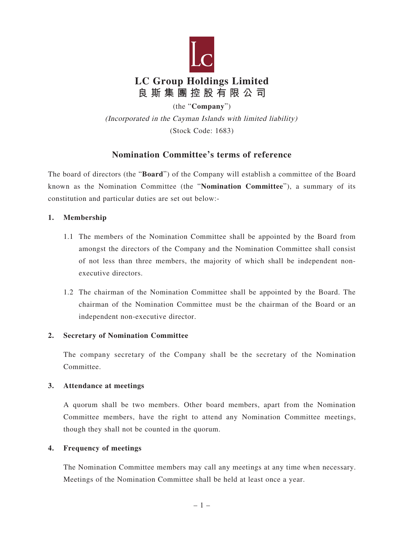

(the "**Company**") (Incorporated in the Cayman Islands with limited liability) (Stock Code: 1683)

# **Nomination Committee's terms of reference**

The board of directors (the "**Board**") of the Company will establish a committee of the Board known as the Nomination Committee (the "**Nomination Committee**"), a summary of its constitution and particular duties are set out below:-

### **1. Membership**

- 1.1 The members of the Nomination Committee shall be appointed by the Board from amongst the directors of the Company and the Nomination Committee shall consist of not less than three members, the majority of which shall be independent nonexecutive directors.
- 1.2 The chairman of the Nomination Committee shall be appointed by the Board. The chairman of the Nomination Committee must be the chairman of the Board or an independent non-executive director.

#### **2. Secretary of Nomination Committee**

The company secretary of the Company shall be the secretary of the Nomination Committee.

#### **3. Attendance at meetings**

A quorum shall be two members. Other board members, apart from the Nomination Committee members, have the right to attend any Nomination Committee meetings, though they shall not be counted in the quorum.

#### **4. Frequency of meetings**

The Nomination Committee members may call any meetings at any time when necessary. Meetings of the Nomination Committee shall be held at least once a year.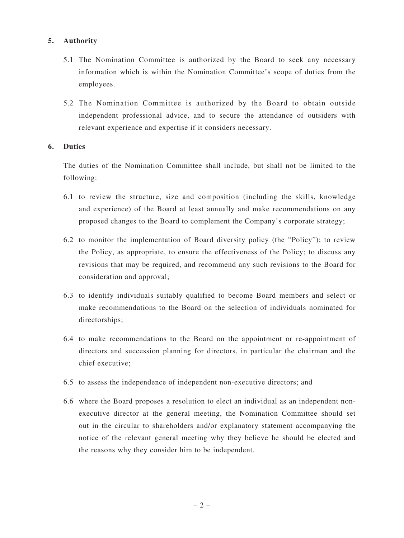# **5. Authority**

- 5.1 The Nomination Committee is authorized by the Board to seek any necessary information which is within the Nomination Committee's scope of duties from the employees.
- 5.2 The Nomination Committee is authorized by the Board to obtain outside independent professional advice, and to secure the attendance of outsiders with relevant experience and expertise if it considers necessary.

### **6. Duties**

The duties of the Nomination Committee shall include, but shall not be limited to the following:

- 6.1 to review the structure, size and composition (including the skills, knowledge and experience) of the Board at least annually and make recommendations on any proposed changes to the Board to complement the Company's corporate strategy;
- 6.2 to monitor the implementation of Board diversity policy (the "Policy"); to review the Policy, as appropriate, to ensure the effectiveness of the Policy; to discuss any revisions that may be required, and recommend any such revisions to the Board for consideration and approval;
- 6.3 to identify individuals suitably qualified to become Board members and select or make recommendations to the Board on the selection of individuals nominated for directorships;
- 6.4 to make recommendations to the Board on the appointment or re-appointment of directors and succession planning for directors, in particular the chairman and the chief executive;
- 6.5 to assess the independence of independent non-executive directors; and
- 6.6 where the Board proposes a resolution to elect an individual as an independent nonexecutive director at the general meeting, the Nomination Committee should set out in the circular to shareholders and/or explanatory statement accompanying the notice of the relevant general meeting why they believe he should be elected and the reasons why they consider him to be independent.